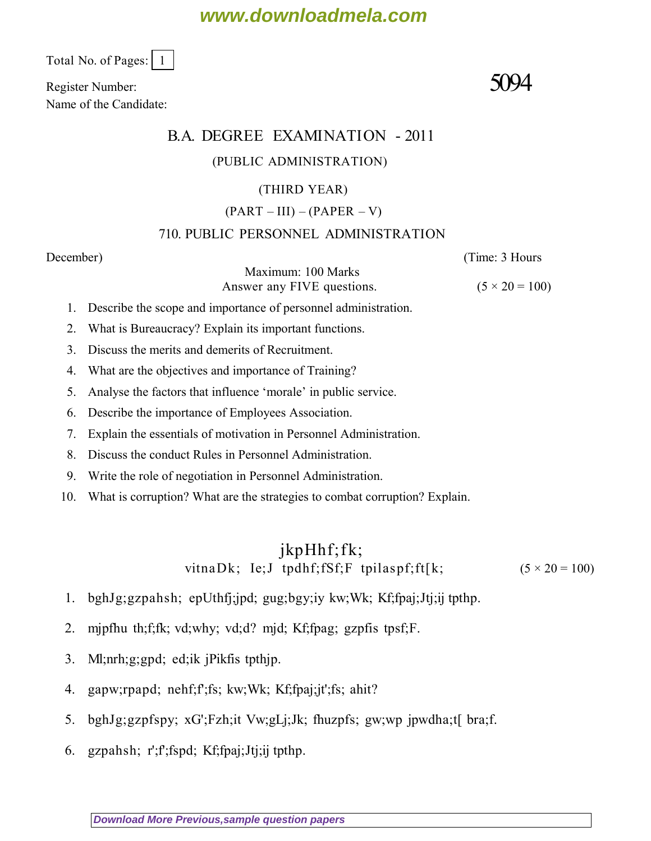## **www.downloadmela.com**

Total No. of Pages: 1

Register Number:  $5094$ Name of the Candidate:

#### B.A. DEGREE EXAMINATION - 2011

#### (PUBLIC ADMINISTRATION)

#### (THIRD YEAR)

#### $(PART - III) - (PAPER - V)$

#### 710. PUBLIC PERSONNEL ADMINISTRATION

*December*) (*Time: 3 Hours*

Maximum: 100 Marks Answer any FIVE questions.  $(5 \times 20 = 100)$ 

- 1. Describe the scope and importance of personnel administration.
- 2. What is Bureaucracy? Explain its important functions.
- 3. Discuss the merits and demerits of Recruitment.
- 4. What are the objectives and importance of Training?
- 5. Analyse the factors that influence 'morale' in public service.
- 6. Describe the importance of Employees Association.
- 7. Explain the essentials of motivation in Personnel Administration.
- 8. Discuss the conduct Rules in Personnel Administration.
- 9. Write the role of negotiation in Personnel Administration.
- 10. What is corruption? What are the strategies to combat corruption? Explain.

### jkpHhf;fk; vitnaDk; Ie;J tpdhf;fSf;F tpilaspf;ft[k;  $(5 \times 20 = 100)$

- 1. bghJg;gzpahsh; epUthfj;jpd; gug;bgy;iy kw;Wk; Kf;fpaj;Jtj;ij tpthp.
- 2. mjpfhu th;f;fk; vd;why; vd;d? mjd; Kf;fpag; gzpfis tpsf;F.
- 3. Ml;nrh;g;gpd; ed;ik jPikfis tpthjp.
- 4. gapw;rpapd; nehf;f';fs; kw;Wk; Kf;fpaj;jt';fs; ahit?
- 5. bghJg;gzpfspy; xG';Fzh;it Vw;gLj;Jk; fhuzpfs; gw;wp jpwdha;t[ bra;f.
- 6. gzpahsh; r';f';fspd; Kf;fpaj;Jtj;ij tpthp.

**[Download More Previous,sample question papers](http://downloadmela.com/pages/previouspapers/previouspapers.html)**